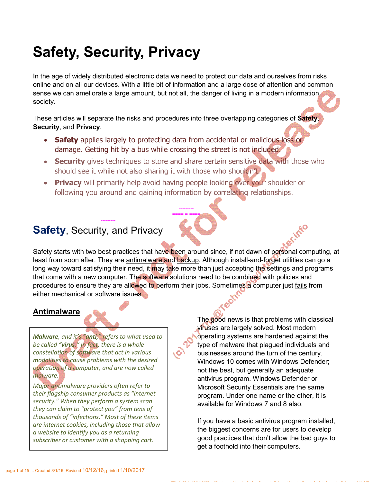# Safety, Security, Privacy

In the age of widely distributed electronic data we need to protect our data and ourselves from risks online and on all our devices. With a little bit of information and a large dose of attention and common sense we can ameliorate a large amount, but not all, the danger of living in a modern information. society.

These articles will separate the risks and procedures into three overlapping categories of **Safety**, Security, and Privacy.

- Safety applies largely to protecting data from accidental or malicious loss or damage. Getting hit by a bus while crossing the street is not included.
- Security gives techniques to store and share certain sensitive data with those who should see it while not also sharing it with those who shouldn't.

--------- ==== = ===<u>=</u>

• Privacy will primarily help avoid having people looking over your shoulder or following you around and gaining information by correlating relationships.

# Safety, Security, and Privacy

---------

Safety starts with two best practices that have been around since, if not dawn of personal computing, at least from soon after. They are antimalware and backup. Although install-and-forget utilities can go a long way toward satisfying their need, it may take more than just accepting the settings and programs that come with a new computer. The software solutions need to be combined with policies and procedures to ensure they are allowed to perform their jobs. Sometimes a computer just fails from either mechanical or software issues.

# Antimalware

*Malware, and it's "anti," refers to what used to be called "virus." In fact, there is a whole constellation of software that act in various modalities to cause problems with the desired operation of a computer, and are now called malware.* 

*Major antimalware providers often refer to their flagship consumer products as "internet security." When they perform a system scan they can claim to "protect you" from tens of thousands of "infections." Most of these items are internet cookies, including those that allow a website to identify you as a returning subscriber or customer with a shopping cart.*

The good news is that problems with classical viruses are largely solved. Most modern operating systems are hardened against the type of malware that plagued individuals and businesses around the turn of the century. Windows 10 comes with Windows Defender; not the best, but generally an adequate antivirus program. Windows Defender or Microsoft Security Essentials are the same program. Under one name or the other, it is available for Windows 7 and 8 also.

If you have a basic antivirus program installed, the biggest concerns are for users to develop good practices that don't allow the bad guys to get a foothold into their computers.

 $S$  SharedFilestyPrototype\book\_SafetyPrototype\Bill $S$ afetyPrivacytype\MasterDoc1\SafetyPrivacy\_MasterDoc1\SafetyPrivacy\_MASTerDoc1\SafetyPrivacyAreae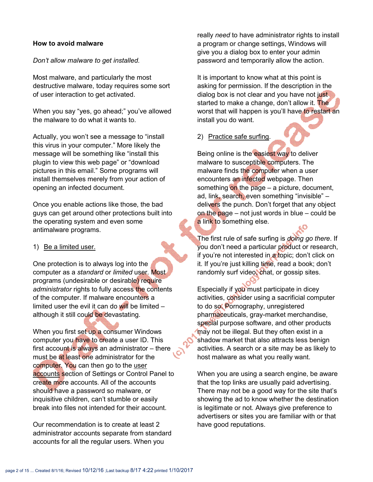#### How to avoid malware

*Don't allow malware to get installed.*

Most malware, and particularly the most destructive malware, today requires some sort of user interaction to get activated.

When you say "yes, go ahead;" you've allowed the malware to do what it wants to.

Actually, you won't see a message to "install this virus in your computer." More likely the message will be something like "install this plugin to view this web page" or "download pictures in this email." Some programs will install themselves merely from your action of opening an infected document.

Once you enable actions like those, the bad guys can get around other protections built into the operating system and even some antimalware programs.

#### 1) Be a limited user.

One protection is to always log into the computer as a *standard* or *limited* user. Most programs (undesirable or desirable) require *administrator* rights to fully access the contents of the computer. If malware encounters a limited user the evil it can do will be limited  $$ although it still could be devastating.

When you first set up a consumer Windows computer you have to create a user ID. This first account is always an administrator – there must be at least one administrator for the computer. You can then go to the user accounts section of Settings or Control Panel to create more accounts. All of the accounts should have a password so malware, or inquisitive children, can't stumble or easily break into files not intended for their account.

Our recommendation is to create at least 2 administrator accounts separate from standard accounts for all the regular users. When you

really *need* to have administrator rights to install a program or change settings, Windows will give you a dialog box to enter your admin password and temporarily allow the action.

It is important to know what at this point is asking for permission. If the description in the dialog box is not clear and you have not just started to make a change, don't allow it. The worst that will happen is you'll have to restart an install you do want.

#### 2) Practice safe surfing.

Being online is the easiest way to deliver malware to susceptible computers. The malware finds the computer when a user encounters an infected webpage. Then something on the page  $-$  a picture, document, ad, link, search, even something "invisible" – delivers the punch. Don't forget that any object on the page  $-$  not just words in blue  $-$  could be a link to something else.

The first rule of safe surfing is *doing go there*. If you don't need a particular product or research, if you're not interested in a topic; don't click on it. If you're just killing time, read a book; don't randomly surf video, chat, or gossip sites.

Especially if you must participate in dicey activities, consider using a sacrificial computer to do so. Pornography, unregistered pharmaceuticals, gray-market merchandise, special purpose software, and other products may not be illegal. But they often exist in a shadow market that also attracts less benign activities. A search or a site may be as likely to host malware as what you really want.

When you are using a search engine, be aware that the top links are usually paid advertising. There may not be a good way for the site that's showing the ad to know whether the destination is legitimate or not. Always give preference to advertisers or sites you are familiar with or that have good reputations.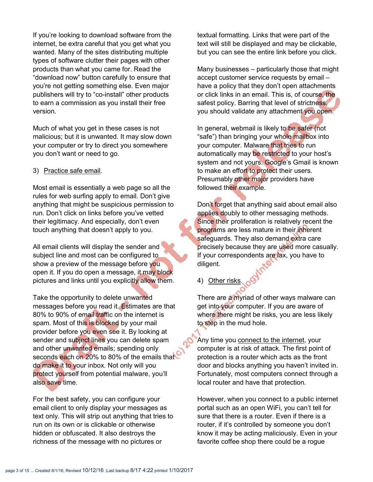If you're looking to download software from the internet, be extra careful that you get what you wanted. Many of the sites distributing multiple types of software clutter their pages with other products than what you came for. Read the "download now" button carefully to ensure that you're not getting something else. Even major publishers will try to "co-install" other products to earn a commission as you install their free version.

Much of what you get in these cases is not malicious; but it is unwanted. It may slow down your computer or try to direct you somewhere you don't want or need to go.

#### 3) Practice safe email.

Most email is essentially a web page so all the rules for web surfing apply to email. Don't give anything that might be suspicious permission to run. Don't click on links before you've vetted their legitimacy. And especially, don't even touch anything that doesn't apply to you.

All email clients will display the sender and subject line and most can be configured to show a preview of the message before you open it. If you do open a message, it may block pictures and links until you explicitly allow them.

Take the opportunity to delete unwanted messages before you read it. Estimates are that 80% to 90% of email traffic on the internet is spam. Most of this is blocked by your mail provider before you even see it. By looking at sender and subject lines you can delete spam and other unwanted emails; spending only seconds each on 20% to 80% of the emails that do make it to your inbox. Not only will you protect yourself from potential malware, you'll also save time.

For the best safety, you can configure your email client to only display your messages as text only. This will strip out anything that tries to run on its own or is clickable or otherwise hidden or obfuscated. It also destroys the richness of the message with no pictures or

textual formatting. Links that were part of the text will still be displayed and may be clickable, but you can see the entire link before you click.

Many businesses – particularly those that might accept customer service requests by email – have a policy that they don't open attachments or click links in an email. This is, of course, the safest policy. Barring that level of strictness, you should validate any attachment you open.

In general, webmail is likely to be safer (not "safe") than bringing your whole mailbox into your computer. Malware that tries to run automatically may be restricted to your host's system and not yours. Google's Gmail is known to make an effort to protect their users. Presumably other major providers have followed their example.

Don't forget that anything said about email also applies doubly to other messaging methods. Since their proliferation is relatively recent the programs are less mature in their inherent safeguards. They also demand extra care precisely because they are used more casually. If your correspondents are lax, you have to diligent.

4) Other risks.

There are a myriad of other ways malware can get into your computer. If you are aware of where there might be risks, you are less likely to step in the mud hole.

Any time you connect to the internet, your computer is at risk of attack. The first point of protection is a router which acts as the front door and blocks anything you haven't invited in. Fortunately, most computers connect through a local router and have that protection.

However, when you connect to a public internet portal such as an open WiFi, you can't tell for sure that there is a router. Even if there is a router, if it's controlled by someone you don't know it may be acting maliciously. Even in your favorite coffee shop there could be a rogue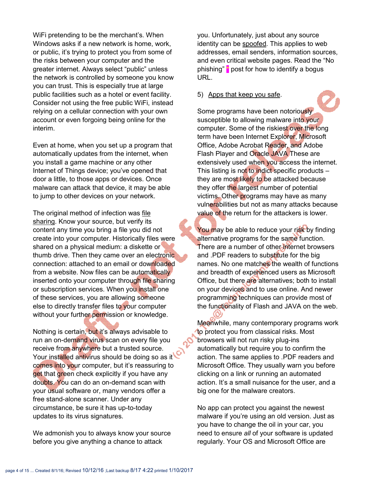WiFi pretending to be the merchant's. When Windows asks if a new network is home, work, or public, it's trying to protect you from some of the risks between your computer and the greater internet. Always select "public" unless the network is controlled by someone you know you can trust. This is especially true at large public facilities such as a hotel or event facility. Consider not using the free public WiFi, instead relying on a cellular connection with your own account or even forgoing being online for the interim.

Even at home, when you set up a program that automatically updates from the internet, when you install a game machine or any other Internet of Things device; you've opened that door a little, to those apps or devices. Once malware can attack that device, it may be able to jump to other devices on your network.

The original method of infection was file sharing. Know your source, but verify its content any time you bring a file you did not create into your computer. Historically files were shared on a physical medium: a diskette or thumb drive. Then they came over an electronic connection: attached to an email or downloaded from a website. Now files can be automatically inserted onto your computer through file sharing or subscription services. When you install one of these services, you are allowing someone else to directly transfer files to your computer without your further permission or knowledge.

Nothing is certain, but it's always advisable to run an on-demand virus scan on every file you receive from anywhere but a trusted source. Your installed antivirus should be doing so as it comes into your computer, but it's reassuring to get that green check explicitly if you have any doubts. You can do an on-demand scan with your usual software or, many vendors offer a free stand-alone scanner. Under any circumstance, be sure it has up-to-today updates to its virus signatures.

We admonish you to always know your source before you give anything a chance to attack

you. Unfortunately, just about any source identity can be spoofed. This applies to web addresses, email senders, information sources, and even critical website pages. Read the "No phishing" **\*** post for how to identify a bogus URL.

#### 5) Apps that keep you safe.

Some programs have been notoriously susceptible to allowing malware into your computer. Some of the riskiest over the long term have been Internet Explorer, Microsoft Office, Adobe Acrobat Reader, and Adobe Flash Player and Oracle JAVA These are extensively used when you access the internet. This listing is not to indict specific products  $$ they are most likely to be attacked because they offer the largest number of potential victims. Other programs may have as many vulnerabilities but not as many attacks because value of the return for the attackers is lower.

You may be able to reduce your risk by finding alternative programs for the same function. There are a number of other internet browsers and .PDF readers to substitute for the big names. No one matches the wealth of functions and breadth of experienced users as Microsoft Office, but there are alternatives; both to install on your devices and to use online. And newer programming techniques can provide most of the functionality of Flash and JAVA on the web.

Meanwhile, many contemporary programs work to protect you from classical risks. Most browsers will not run risky plug-ins automatically but require you to confirm the action. The same applies to .PDF readers and Microsoft Office. They usually warn you before clicking on a link or running an automated action. It's a small nuisance for the user, and a big one for the malware creators.

No app can protect you against the newest malware if you're using an old version. Just as you have to change the oil in your car, you need to ensure *all* of your software is updated regularly. Your OS and Microsoft Office are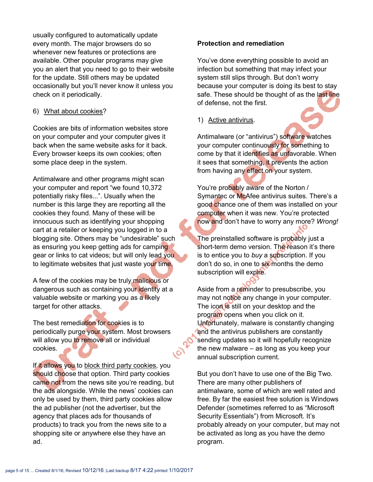usually configured to automatically update every month. The major browsers do so whenever new features or protections are available. Other popular programs may give you an alert that you need to go to their website for the update. Still others may be updated occasionally but you'll never know it unless you check on it periodically.

#### 6) What about cookies?

Cookies are bits of information websites store on your computer and your computer gives it back when the same website asks for it back. Every browser keeps its own cookies; often some place deep in the system.

Antimalware and other programs might scan your computer and report "we found 10,372 potentially risky files...". Usually when the number is this large they are reporting all the cookies they found. Many of these will be innocuous such as identifying your shopping cart at a retailer or keeping you logged in to a blogging site. Others may be "undesirable" such as ensuring you keep getting ads for camping gear or links to cat videos; but will only lead you to legitimate websites that just waste your time.

A few of the cookies may be truly malicious or dangerous such as containing your identity at a valuable website or marking you as a likely target for other attacks.

The best remediation for cookies is to periodically purge your system. Most browsers will allow you to remove all or individual cookies.

If it allows you to block third party cookies, you should choose that option. Third party cookies came not from the news site you're reading, but the ads alongside. While the news' cookies can only be used by them, third party cookies allow the ad publisher (not the advertiser, but the agency that places ads for thousands of products) to track you from the news site to a shopping site or anywhere else they have an ad.

#### Protection and remediation

You've done everything possible to avoid an infection but something that may infect your system still slips through. But don't worry because your computer is doing its best to stay safe. These should be thought of as the last line of defense, not the first.

1) Active antivirus.

Antimalware (or "antivirus") software watches your computer continuously for something to come by that it identifies as unfavorable. When it sees that something, it prevents the action from having any effect on your system.

You're probably aware of the Norton / Symantec or McAfee antivirus suites. There's a good chance one of them was installed on your computer when it was new. You're protected now and don't have to worry any more? *Wrong!*

The preinstalled software is probably just a short-term demo version. The reason it's there is to entice you to *buy* a subscription. If you don't do so, in one to six months the demo subscription will expire.

Aside from a reminder to presubscribe, you may not notice any change in your computer. The icon is still on your desktop and the program opens when you click on it. Unfortunately, malware is constantly changing and the antivirus publishers are constantly sending updates so it will hopefully recognize the new malware – as long as you keep your annual subscription current.

But you don't have to use one of the Big Two. There are many other publishers of antimalware, some of which are well rated and free. By far the easiest free solution is Windows Defender (sometimes referred to as "Microsoft Security Essentials") from Microsoft. It's probably already on your computer, but may not be activated as long as you have the demo program.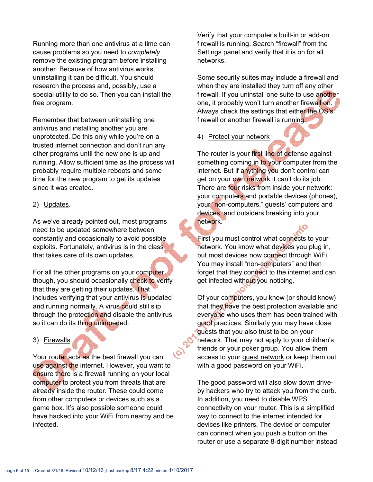Running more than one antivirus at a time can cause problems so you need to *completely* remove the existing program before installing another. Because of how antivirus works, uninstalling it can be difficult. You should research the process and, possibly, use a special utility to do so. Then you can install the free program.

Remember that between uninstalling one antivirus and installing another you are unprotected. Do this only while you're on a trusted internet connection and don't run any other programs until the new one is up and running. Allow sufficient time as the process will probably require multiple reboots and some time for the new program to get its updates since it was created.

#### 2) Updates.

As we've already pointed out, most programs need to be updated somewhere between constantly and occasionally to avoid possible exploits. Fortunately, antivirus is in the class that takes care of its own updates.

For all the other programs on your computer though, you should occasionally check to verify that they are getting their updates. That includes verifying that your antivirus is updated and running normally. A virus could still slip through the protection and disable the antivirus so it can do its thing unimpeded.

3) Firewalls.

Your router acts as the best firewall you can use against the internet. However, you want to ensure there is a firewall running on your local computer to protect you from threats that are already inside the router. These could come from other computers or devices such as a game box. It's also possible someone could have hacked into your WiFi from nearby and be infected.

Verify that your computer's built-in or add-on firewall is running. Search "firewall" from the Settings panel and verify that it is on for all networks.

Some security suites may include a firewall and when they are installed they turn off any other firewall. If you uninstall one suite to use another one, it probably won't turn another firewall on. Always check the settings that either the OS's firewall or another firewall is running.

4) Protect your network

The router is your first line of defense against something coming in to your computer from the internet. But if anything you don't control can get on your own network it can't do its job. There are four risks from inside your network: your computers and portable devices (phones), your "non-computers," guests' computers and devices, and outsiders breaking into your network.

First you must control what connects to your network. You know what devices you plug in, but most devices now connect through WiFi. You may install "non-computers" and then forget that they connect to the internet and can get infected without you noticing.

Of your computers, you know (or should know) that they have the best protection available and everyone who uses them has been trained with good practices. Similarly you may have close guests that you also trust to be on your network. That may not apply to your children's friends or your poker group. You allow them access to your guest network or keep them out with a good password on your WiFi.

The good password will also slow down driveby hackers who try to attack you from the curb. In addition, you need to disable WPS connectivity on your router. This is a simplified way to connect to the internet intended for devices like printers. The device or computer can connect when you push a button on the router or use a separate 8-digit number instead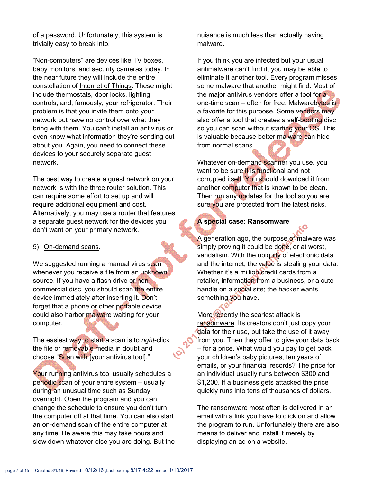of a password. Unfortunately, this system is trivially easy to break into.

"Non-computers" are devices like TV boxes, baby monitors, and security cameras today. In the near future they will include the entire constellation of Internet of Things. These might include thermostats, door locks, lighting controls, and, famously, your refrigerator. Their problem is that you invite them onto your network but have no control over what they bring with them. You can't install an antivirus or even know what information they're sending out about you. Again, you need to connect these devices to your securely separate guest network.

The best way to create a guest network on your network is with the three router solution. This can require some effort to set up and will require additional equipment and cost. Alternatively, you may use a router that features a separate guest network for the devices you don't want on your primary network.

#### 5) On-demand scans.

We suggested running a manual virus scan whenever you receive a file from an unknown source. If you have a flash drive or noncommercial disc, you should scan the entire device immediately after inserting it. Don't forget that a phone or other portable device could also harbor malware waiting for your computer.

The easiest way to start a scan is to *right*-click the file or removable media in doubt and choose "Scan with [your antivirus tool]."

Your running antivirus tool usually schedules a periodic scan of your entire system – usually during an unusual time such as Sunday overnight. Open the program and you can change the schedule to ensure you don't turn the computer off at that time. You can also start an on-demand scan of the entire computer at any time. Be aware this may take hours and slow down whatever else you are doing. But the nuisance is much less than actually having malware.

If you think you are infected but your usual antimalware can't find it, you may be able to eliminate it another tool. Every program misses some malware that another might find. Most of the major antivirus vendors offer a tool for a one-time scan – often for free. Malwarebytes is a favorite for this purpose. Some vendors may also offer a tool that creates a self-booting disc so you can scan without starting your OS. This is valuable because better malware can hide from normal scans.

Whatever on-demand scanner you use, you want to be sure it is functional and not corrupted itself. You should download it from another computer that is known to be clean. Then run any updates for the tool so you are sure you are protected from the latest risks.

## A special case: Ransomware

A generation ago, the purpose of malware was simply proving it could be done, or at worst, vandalism. With the ubiquity of electronic data and the internet, the value is stealing your data. Whether it's a million credit cards from a retailer, information from a business, or a cute handle on a social site; the hacker wants something you have.

More recently the scariest attack is ransomware. Its creators don't just copy your data for their use, but take the use of it away from you. Then they offer to give your data back – for a price. What would you pay to get back your children's baby pictures, ten years of emails, or your financial records? The price for an individual usually runs between \$300 and \$1,200. If a business gets attacked the price quickly runs into tens of thousands of dollars.

The ransomware most often is delivered in an email with a link you have to click on and allow the program to run. Unfortunately there are also means to deliver and install it merely by displaying an ad on a website.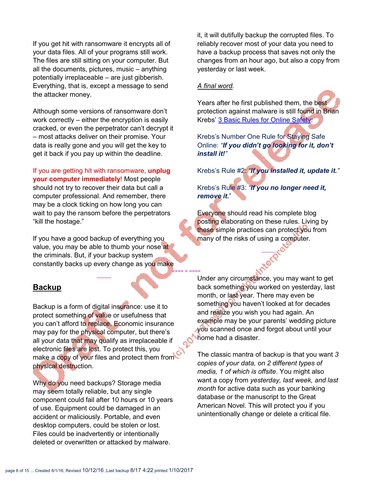If you get hit with ransomware it encrypts all of your data files. All of your programs still work. The files are still sitting on your computer. But all the documents, pictures, music – anything potentially irreplaceable – are just gibberish. Everything, that is, except a message to send the attacker money.

Although some versions of ransomware don't work correctly – either the encryption is easily cracked, or even the perpetrator can't decrypt it – most attacks deliver on their promise. Your data is really gone and you will get the key to get it back if you pay up within the deadline.

If you are getting hit with ransomware, unplug your computer immediately! Most people should not try to recover their data but call a computer professional. And remember, there may be a clock ticking on how long you can wait to pay the ransom before the perpetrators "kill the hostage."

If you have a good backup of everything you value, you may be able to thumb your nose at the criminals. But, if your backup system constantly backs up every change as you make

---------

## **Backup**

Backup is a form of digital insurance: use it to protect something of value or usefulness that you can't afford to replace. Economic insurance may pay for the physical computer, but there's all your data that may qualify as irreplaceable if electronic files are lost. To protect this, you make a copy of your files and protect them from physical destruction.

Why do you need backups? Storage media may seem totally reliable, but any single component could fail after 10 hours or 10 years of use. Equipment could be damaged in an accident or maliciously. Portable, and even desktop computers, could be stolen or lost. Files could be inadvertently or intentionally deleted or overwritten or attacked by malware.

it, it will dutifully backup the corrupted files. To reliably recover most of your data you need to have a backup process that saves not only the changes from an hour ago, but also a copy from yesterday or last week.

#### *A final word.*

Years after he first published them, the best protection against malware is still found in Brian Krebs' 3 Basic Rules for Online Safety:

Krebs's Number One Rule for Staying Safe Online: *"If you didn't go looking for it, don't install it!"*

Krebs's Rule #2: *"If you installed it, update it."*

Krebs's Rule #3: *"If you no longer need it, remove it.*"

Everyone should read his complete blog posting elaborating on these rules. Living by these simple practices can protect you from many of the risks of using a computer.

---------

==== = ==== Under any circumstance, you may want to get back something you worked on yesterday, last month, or last year. There may even be something you haven't looked at for decades and realize you wish you had again. An example may be your parents' wedding picture you scanned once and forgot about until your home had a disaster.

> The classic mantra of backup is that you want *3 copies of your data, on 2 different types of media, 1 of which is offsite*. You might also want a copy from *yesterday, last week, and last month* for active data such as your banking database or the manuscript to the Great American Novel. This will protect you if you unintentionally change or delete a critical file.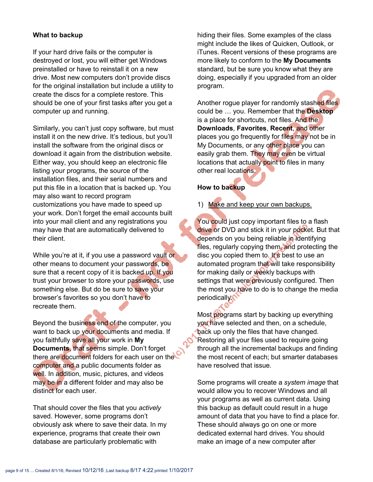#### What to backup

If your hard drive fails or the computer is destroyed or lost, you will either get Windows preinstalled or have to reinstall it on a new drive. Most new computers don't provide discs for the original installation but include a utility to create the discs for a complete restore. This should be one of your first tasks after you get a computer up and running.

Similarly, you can't just copy software, but must install it on the new drive. It's tedious, but you'll install the software from the original discs or download it again from the distribution website. Either way, you should keep an electronic file listing your programs, the source of the installation files, and their serial numbers and put this file in a location that is backed up. You may also want to record program customizations you have made to speed up your work. Don't forget the email accounts built into your mail client and any registrations you may have that are automatically delivered to their client.

While you're at it, if you use a password vault or other means to document your passwords, be sure that a recent copy of it is backed up. If you trust your browser to store your passwords, use something else. But do be sure to save your browser's favorites so you don't have to recreate them.

Beyond the business end of the computer, you want to back up your documents and media. If you faithfully save all your work in My Documents, that seems simple. Don't forget there are document folders for each user on the computer and a public documents folder as well. In addition, music, pictures, and videos may be in a different folder and may also be distinct for each user.

That should cover the files that you *actively* saved. However, some programs don't obviously ask where to save their data. In my experience, programs that create their own database are particularly problematic with

hiding their files. Some examples of the class might include the likes of Quicken, Outlook, or iTunes. Recent versions of these programs are more likely to conform to the My Documents standard, but be sure you know what they are doing, especially if you upgraded from an older program.

Another rogue player for randomly stashed files could be ... you. Remember that the Desktop is a place for shortcuts, not files. And the Downloads, Favorites, Recent, and other places you go frequently for files may not be in My Documents, or any other place you can easily grab them. They may even be virtual locations that actually point to files in many other real locations.

#### How to backup

1) Make and keep your own backups.

You could just copy important files to a flash drive or DVD and stick it in your pocket. But that depends on you being reliable in identifying files, regularly copying them, and protecting the disc you copied them to. It's best to use an automated program that will take responsibility for making daily or weekly backups with settings that were previously configured. Then the most you have to do is to change the media periodically

Most programs start by backing up everything you have selected and then, on a schedule, back up only the files that have changed. Restoring all your files used to require going through all the incremental backups and finding the most recent of each; but smarter databases have resolved that issue.

Some programs will create a *system image* that would allow you to recover Windows and all your programs as well as current data. Using this backup as default could result in a huge amount of data that you have to find a place for. These should always go on one or more dedicated external hard drives. You should make an image of a new computer after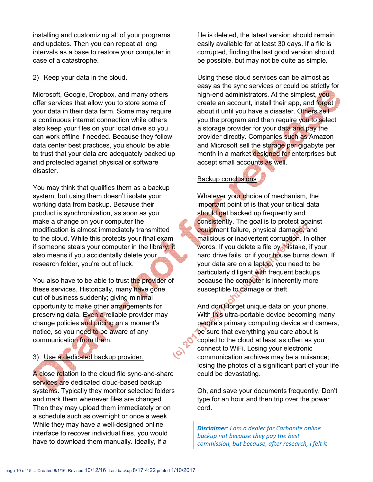installing and customizing all of your programs and updates. Then you can repeat at long intervals as a base to restore your computer in case of a catastrophe.

#### 2) Keep your data in the cloud.

Microsoft, Google, Dropbox, and many others offer services that allow you to store some of your data in their data farm. Some may require a continuous internet connection while others also keep your files on your local drive so you can work offline if needed. Because they follow data center best practices, you should be able to trust that your data are adequately backed up and protected against physical or software disaster.

You may think that qualifies them as a backup system, but using them doesn't isolate your working data from backup. Because their product is synchronization, as soon as you make a change on your computer the modification is almost immediately transmitted to the cloud. While this protects your final exam if someone steals your computer in the library; it also means if you accidentally delete your research folder, you're out of luck.

You also have to be able to trust the provider of these services. Historically, many have gone out of business suddenly; giving minimal opportunity to make other arrangements for preserving data. Even a reliable provider may change policies and pricing on a moment's notice, so you need to be aware of any communication from them.

3) Use a dedicated backup provider.

A close relation to the cloud file sync-and-share services are dedicated cloud-based backup systems. Typically they monitor selected folders and mark them whenever files are changed. Then they may upload them immediately or on a schedule such as overnight or once a week. While they may have a well-designed online interface to recover individual files, you would have to download them manually. Ideally, if a

file is deleted, the latest version should remain easily available for at least 30 days. If a file is corrupted, finding the last good version should be possible, but may not be quite as simple.

Using these cloud services can be almost as easy as the sync services or could be strictly for high-end administrators. At the simplest, you create an account, install their app, and forget about it until you have a disaster. Others sell you the program and then require you to select a storage provider for your data and pay the provider directly. Companies such as Amazon and Microsoft sell the storage per gigabyte per month in a market designed for enterprises but accept small accounts as well.

#### Backup conclusions

Whatever your choice of mechanism, the important point of is that your critical data should get backed up frequently and consistently. The goal is to protect against equipment failure, physical damage, and malicious or inadvertent corruption. In other words: If you delete a file by mistake, if your hard drive fails, or if your house burns down. If your data are on a laptop, you need to be particularly diligent with frequent backups because the computer is inherently more susceptible to damage or theft.

And don't forget unique data on your phone. With this ultra-portable device becoming many people's primary computing device and camera, be sure that everything you care about is copied to the cloud at least as often as you connect to WiFi. Losing your electronic communication archives may be a nuisance; losing the photos of a significant part of your life could be devastating.

Oh, and save your documents frequently. Don't type for an hour and then trip over the power cord.

*Disclaimer: I am a dealer for Carbonite online backup not because they pay the best commission, but because, after research, I felt it*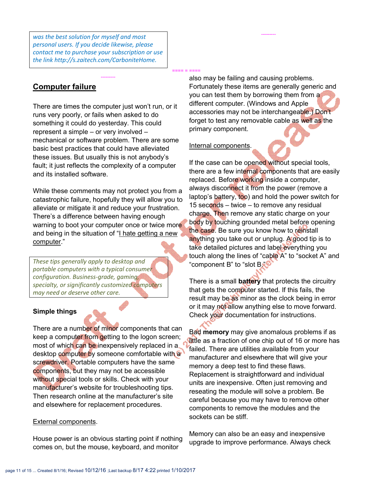*was the best solution for myself and most personal users. If you decide likewise, please contact me to purchase your subscription or use the link http://s.zaitech.com/CarboniteHome.*

## Computer failure

There are times the computer just won't run, or it runs very poorly, or fails when asked to do something it could do yesterday. This could represent a simple – or very involved – mechanical or software problem. There are some basic best practices that could have alleviated these issues. But usually this is not anybody's fault; it just reflects the complexity of a computer and its installed software.

---------

While these comments may not protect you from a catastrophic failure, hopefully they will allow you to alleviate or mitigate it and reduce your frustration. There's a difference between having enough warning to boot your computer once or twice more and being in the situation of "I hate getting a new computer."

*These tips generally apply to desktop and portable computers with a typical consumer configuration. Business-grade, gaming, specialty, or significantly customized computers may need or deserve other care.*

#### Simple things

There are a number of minor components that can keep a computer from getting to the logon screen; most of which can be inexpensively replaced in a desktop computer by someone comfortable with a screwdriver. Portable computers have the same components, but they may not be accessible without special tools or skills. Check with your manufacturer's website for troubleshooting tips. Then research online at the manufacturer's site and elsewhere for replacement procedures.

#### External components.

House power is an obvious starting point if nothing comes on, but the mouse, keyboard, and monitor

also may be failing and causing problems. Fortunately these items are generally generic and you can test them by borrowing them from a different computer. (Windows and Apple accessories may not be interchangeable.) Don't forget to test any removable cable as well as the primary component.

---------

#### Internal components.

==== = ====

If the case can be opened without special tools, there are a few internal components that are easily replaced. Before working inside a computer, always disconnect it from the power (remove a laptop's battery, too) and hold the power switch for 15 seconds – twice – to remove any residual charge. Then remove any static charge on your body by touching grounded metal before opening the case. Be sure you know how to reinstall anything you take out or unplug. A good tip is to take detailed pictures and label everything you touch along the lines of "cable A" to "socket A" and "component B" to "slot B

There is a small **battery** that protects the circuitry that gets the computer started. If this fails, the result may be as minor as the clock being in error or it may not allow anything else to move forward. Check your documentation for instructions.

Bad memory may give anomalous problems if as little as a fraction of one chip out of 16 or more has failed. There are utilities available from your manufacturer and elsewhere that will give your memory a deep test to find these flaws. Replacement is straightforward and individual units are inexpensive. Often just removing and reseating the module will solve a problem. Be careful because you may have to remove other components to remove the modules and the sockets can be stiff.

Memory can also be an easy and inexpensive upgrade to improve performance. Always check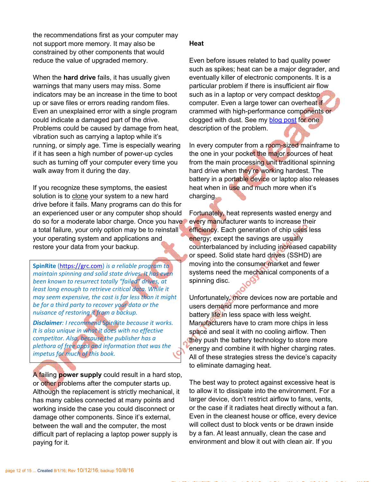the recommendations first as your computer may not support more memory. It may also be constrained by other components that would reduce the value of upgraded memory.

When the **hard drive** fails, it has usually given warnings that many users may miss. Some indicators may be an increase in the time to boot up or save files or errors reading random files. Even an unexplained error with a single program could indicate a damaged part of the drive. Problems could be caused by damage from heat, vibration such as carrying a laptop while it's running, or simply age. Time is especially wearing if it has seen a high number of power-up cycles such as turning off your computer every time you walk away from it during the day.

If you recognize these symptoms, the easiest solution is to clone your system to a new hard drive before it fails. Many programs can do this for an experienced user or any computer shop should do so for a moderate labor charge. Once you have a total failure, your only option may be to reinstall your operating system and applications and restore your data from your backup.

SpinRite (https://grc.com) *is a reliable program to maintain spinning and solid state drives. It has even been known to resurrect totally "failed" drives, at least long enough to retrieve critical data. While it may seem expensive, the cost is far less than it might be for a third party to recover your data or the nuisance of restoring it from a backup.*

*Disclaimer: I recommend* SpinRite *because it works. It is also unique in what it does with no effective competitor. Also, because the publisher has a plethora of free apps and information that was the impetus for much of this book.*

A failing power supply could result in a hard stop, or other problems after the computer starts up. Although the replacement is strictly mechanical, it has many cables connected at many points and working inside the case you could disconnect or damage other components. Since it's external, between the wall and the computer, the most difficult part of replacing a laptop power supply is paying for it.

#### **Heat**

Even before issues related to bad quality power such as spikes; heat can be a major degrader, and eventually killer of electronic components. It is a particular problem if there is insufficient air flow such as in a laptop or very compact desktop computer. Even a large tower can overheat if crammed with high-performance components or clogged with dust. See my blog post for one description of the problem.

In every computer from a room-sized mainframe to the one in your pocket the major sources of heat from the main processing unit traditional spinning hard drive when they're working hardest. The battery in a portable device or laptop also releases heat when in use and much more when it's charging.

Fortunately, heat represents wasted energy and every manufacturer wants to increase their efficiency. Each generation of chip uses less energy; except the savings are usually counterbalanced by including increased capability or speed. Solid state hard drives (SSHD) are moving into the consumer market and fewer systems need the mechanical components of a spinning disc.

Unfortunately, more devices now are portable and users demand more performance and more battery life in less space with less weight. Manufacturers have to cram more chips in less space and seal it with no cooling airflow. Then they push the battery technology to store more energy and combine it with higher charging rates. All of these strategies stress the device's capacity to eliminate damaging heat.

The best way to protect against excessive heat is to allow it to dissipate into the environment. For a larger device, don't restrict airflow to fans, vents, or the case if it radiates heat directly without a fan. Even in the cleanest house or office, every device will collect dust to block vents or be drawn inside by a fan. At least annually, clean the case and environment and blow it out with clean air. If you

SharedFiles\ySDrive\Bill $\Gamma$  as a security  $\Gamma$  of  $\Gamma$  and  $\Gamma$  . The security  $\Gamma$  and  $\Gamma$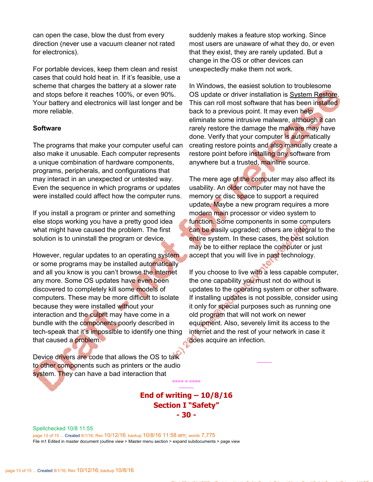can open the case, blow the dust from every direction (never use a vacuum cleaner not rated for electronics).

For portable devices, keep them clean and resist cases that could hold heat in. If it's feasible, use a scheme that charges the battery at a slower rate and stops before it reaches 100%, or even 90%. Your battery and electronics will last longer and be more reliable.

#### Software

The programs that make your computer useful can also make it unusable. Each computer represents a unique combination of hardware components, programs, peripherals, and configurations that may interact in an unexpected or untested way. Even the sequence in which programs or updates were installed could affect how the computer runs.

If you install a program or printer and something else stops working you have a pretty good idea what might have caused the problem. The first solution is to uninstall the program or device.

However, regular updates to an operating system or some programs may be installed automatically and all you know is you can't browse the internet any more. Some OS updates have even been discovered to completely kill some models of computers. These may be more difficult to isolate because they were installed without your interaction and the culprit may have come in a bundle with the components poorly described in tech-speak that it's impossible to identify one thing that caused a problem.

Device drivers are code that allows the OS to talk to other components such as printers or the audio system. They can have a bad interaction that

suddenly makes a feature stop working. Since most users are unaware of what they do, or even that they exist, they are rarely updated. But a change in the OS or other devices can unexpectedly make them not work.

In Windows, the easiest solution to troublesome OS update or driver installation is System Restore. This can roll most software that has been installed back to a previous point. It may even help eliminate some intrusive malware, although it can rarely restore the damage the malware may have done. Verify that your computer is automatically creating restore points and also manually create a restore point before installing any software from anywhere but a trusted, mainline source.

The mere age of the computer may also affect its usability. An older computer may not have the memory or disc space to support a required update. Maybe a new program requires a more modern main processor or video system to function. Some components in some computers can be easily upgraded; others are integral to the entire system. In these cases, the best solution may be to either replace the computer or just accept that you will live in past technology.

If you choose to live with a less capable computer, the one capability you must not do without is updates to the operating system or other software. If installing updates is not possible, consider using it only for special purposes such as running one old program that will not work on newer equipment. Also, severely limit its access to the internet and the rest of your network in case it does acquire an infection.

---------

SharedFiles\ySDrive\Bill $\Gamma$  as a security  $\Gamma$  of  $\Gamma$  and  $\Gamma$  . The security  $\Gamma$  and  $\Gamma$ 

End of writing  $-10/8/16$ Section I "Safety" - 30 -

==== = ==== ---------

Spellchecked 10/8 11:55 page 13 of 15 ... Created 8/1/16; Rev 10/12/16; backup 10/8/16 11:58 am; words 7,775 File m1 Edited in master document (outline view > Master menu section > expand subdocuments > page view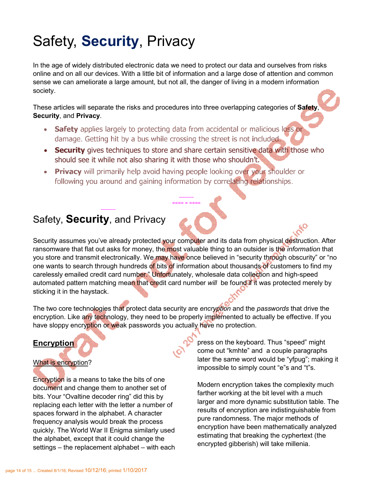# Safety, Security, Privacy

In the age of widely distributed electronic data we need to protect our data and ourselves from risks online and on all our devices. With a little bit of information and a large dose of attention and common sense we can ameliorate a large amount, but not all, the danger of living in a modern information society.

These articles will separate the risks and procedures into three overlapping categories of Safety Security, and Privacy.

- Safety applies largely to protecting data from accidental or malicious loss or damage. Getting hit by a bus while crossing the street is not included.
- Security gives techniques to store and share certain sensitive data with those who should see it while not also sharing it with those who shouldn't.

--------- ==== = ====

• Privacy will primarily help avoid having people looking over your shoulder or following you around and gaining information by correlating relationships.

# Safety, Security, and Privacy

---------

Security assumes you've already protected your computer and its data from physical destruction. After ransomware that flat out asks for money, the most valuable thing to an outsider is the *information* that you store and transmit electronically. We may have once believed in "security through obscurity" or "no one wants to search through hundreds of bits of information about thousands of customers to find my carelessly emailed credit card number." Unfortunately, wholesale data collection and high-speed automated pattern matching mean that credit card number *will* be found if it was protected merely by sticking it in the haystack.

The two core technologies that protect data security are *encryption* and the *passwords* that drive the encryption. Like any technology, they need to be properly implemented to actually be effective. If you have sloppy encryption or weak passwords you actually have no protection.

# Encryption

#### What is encryption?

Encryption is a means to take the bits of one document and change them to another set of bits. Your "Ovaltine decoder ring" did this by replacing each letter with the letter a number of spaces forward in the alphabet. A character frequency analysis would break the process quickly. The World War II Enigma similarly used the alphabet, except that it could change the settings – the replacement alphabet – with each press on the keyboard. Thus "speed" might come out "kmhte" and a couple paragraphs later the same word would be "yfpug"; making it impossible to simply count "e"s and "t"s.

Modern encryption takes the complexity much farther working at the bit level with a much larger and more dynamic substitution table. The results of encryption are indistinguishable from pure randomness. The major methods of encryption have been mathematically analyzed estimating that breaking the cyphertext (the encrypted gibberish) will take millenia.